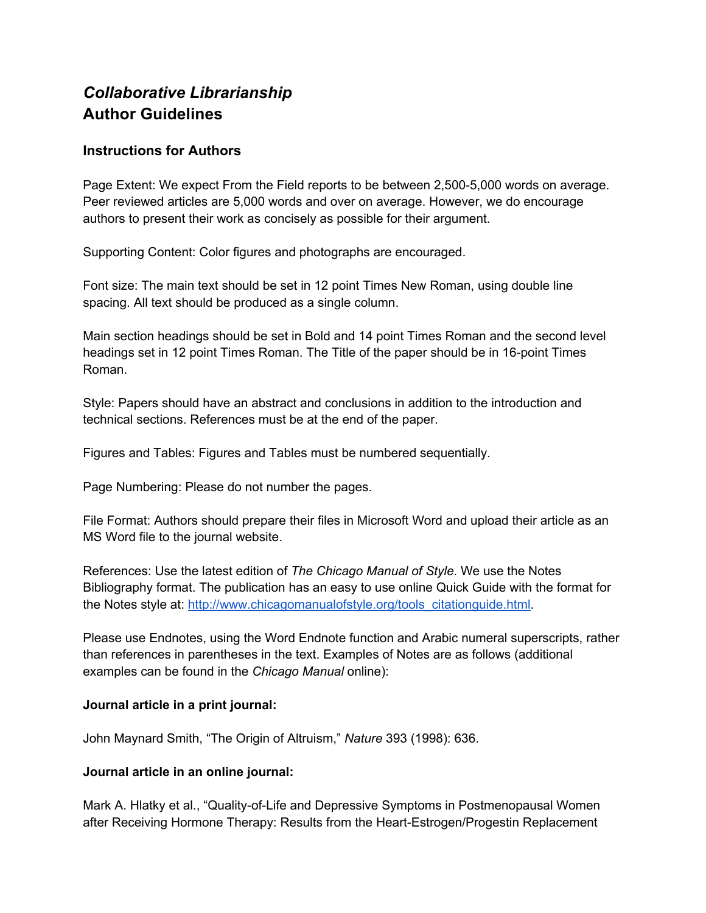# *Collaborative Librarianship*  **Author Guidelines**

### **Instructions for Authors**

Page Extent: We expect From the Field reports to be between 2,500-5,000 words on average. Peer reviewed articles are 5,000 words and over on average. However, we do encourage authors to present their work as concisely as possible for their argument.

Supporting Content: Color figures and photographs are encouraged.

Font size: The main text should be set in 12 point Times New Roman, using double line spacing. All text should be produced as a single column.

Main section headings should be set in Bold and 14 point Times Roman and the second level headings set in 12 point Times Roman. The Title of the paper should be in 16-point Times Roman.

Style: Papers should have an abstract and conclusions in addition to the introduction and technical sections. References must be at the end of the paper.

Figures and Tables: Figures and Tables must be numbered sequentially.

Page Numbering: Please do not number the pages.

File Format: Authors should prepare their files in Microsoft Word and upload their article as an MS Word file to the journal website.

References: Use the latest edition of *The Chicago Manual of Style*. We use the Notes Bibliography format. The publication has an easy to use online Quick Guide with the format for the Notes style at: http://www.chicagomanualofstyle.org/tools\_citationguide.html.

Please use Endnotes, using the Word Endnote function and Arabic numeral superscripts, rather than references in parentheses in the text. Examples of Notes are as follows (additional examples can be found in the *Chicago Manual* online):

#### **Journal article in a print journal:**

John Maynard Smith, "The Origin of Altruism," *Nature* 393 (1998): 636.

#### **Journal article in an online journal:**

Mark A. Hlatky et al., "Quality-of-Life and Depressive Symptoms in Postmenopausal Women after Receiving Hormone Therapy: Results from the Heart-Estrogen/Progestin Replacement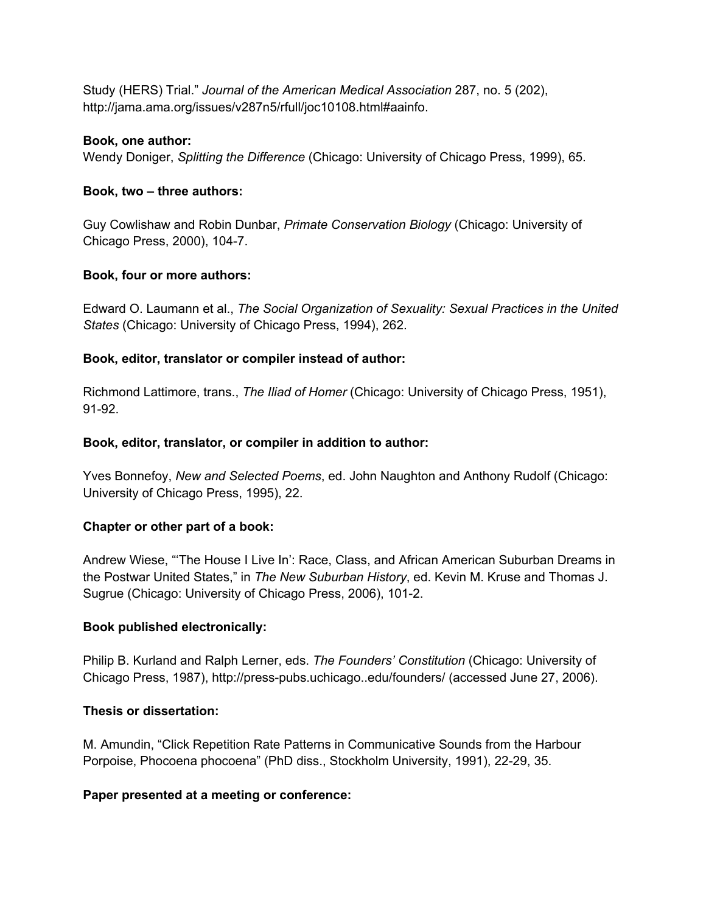Study (HERS) Trial." *Journal of the American Medical Association* 287, no. 5 (202), http://jama.ama.org/issues/v287n5/rfull/joc10108.html#aainfo.

#### **Book, one author:**

Wendy Doniger, *Splitting the Difference* (Chicago: University of Chicago Press, 1999), 65.

### **Book, two – three authors:**

Guy Cowlishaw and Robin Dunbar, *Primate Conservation Biology* (Chicago: University of Chicago Press, 2000), 104-7.

### **Book, four or more authors:**

Edward O. Laumann et al., *The Social Organization of Sexuality: Sexual Practices in the United States* (Chicago: University of Chicago Press, 1994), 262.

### **Book, editor, translator or compiler instead of author:**

Richmond Lattimore, trans., *The Iliad of Homer* (Chicago: University of Chicago Press, 1951), 91-92.

### **Book, editor, translator, or compiler in addition to author:**

Yves Bonnefoy, *New and Selected Poems*, ed. John Naughton and Anthony Rudolf (Chicago: University of Chicago Press, 1995), 22.

### **Chapter or other part of a book:**

Andrew Wiese, "'The House I Live In': Race, Class, and African American Suburban Dreams in the Postwar United States," in *The New Suburban History*, ed. Kevin M. Kruse and Thomas J. Sugrue (Chicago: University of Chicago Press, 2006), 101-2.

### **Book published electronically:**

Philip B. Kurland and Ralph Lerner, eds. *The Founders' Constitution* (Chicago: University of Chicago Press, 1987), http://press-pubs.uchicago..edu/founders/ (accessed June 27, 2006).

### **Thesis or dissertation:**

M. Amundin, "Click Repetition Rate Patterns in Communicative Sounds from the Harbour Porpoise, Phocoena phocoena" (PhD diss., Stockholm University, 1991), 22-29, 35.

### **Paper presented at a meeting or conference:**